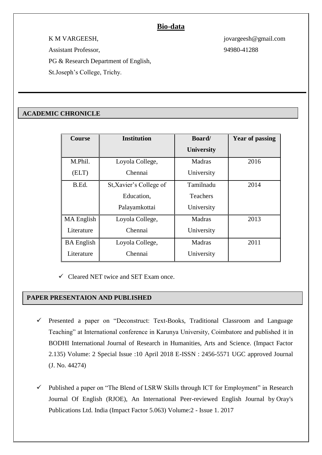# **Bio-data**

K M VARGEESH, jovargeesh@gmail.com Assistant Professor, 94980-41288

PG & Research Department of English,

St.Joseph's College, Trichy.

## **ACADEMIC CHRONICLE**

| <b>Course</b>     | <b>Institution</b>      | <b>Board</b>      | <b>Year of passing</b> |
|-------------------|-------------------------|-------------------|------------------------|
|                   |                         | <b>University</b> |                        |
| M.Phil.           | Loyola College,         | Madras            | 2016                   |
| (ELT)             | Chennai                 | University        |                        |
| B.Ed.             | St, Xavier's College of | Tamilnadu         | 2014                   |
|                   | Education,              | <b>Teachers</b>   |                        |
|                   | Palayamkottai           | University        |                        |
| MA English        | Loyola College,         | <b>Madras</b>     | 2013                   |
| Literature        | Chennai                 | University        |                        |
| <b>BA</b> English | Loyola College,         | <b>Madras</b>     | 2011                   |
| Literature        | Chennai                 | University        |                        |

 $\checkmark$  Cleared NET twice and SET Exam once.

### **PAPER PRESENTAION AND PUBLISHED**

- Presented a paper on "Deconstruct: Text-Books, Traditional Classroom and Language Teaching" at International conference in Karunya University, Coimbatore and published it in BODHI International Journal of Research in Humanities, Arts and Science. (Impact Factor 2.135) Volume: 2 Special Issue :10 April 2018 E-ISSN : 2456-5571 UGC approved Journal (J. No. 44274)
- $\checkmark$  Published a paper on "The Blend of LSRW Skills through ICT for Employment" in Research Journal Of English (RJOE), An International Peer-reviewed English Journal by Oray's Publications Ltd. India (Impact Factor 5.063) Volume:2 - Issue 1. 2017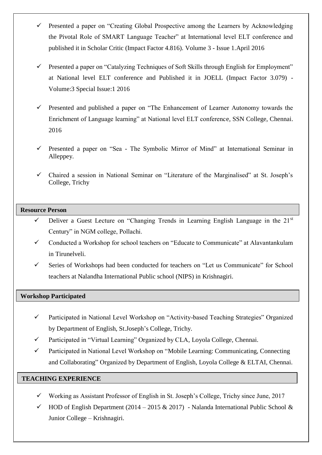- $\checkmark$  Presented a paper on "Creating Global Prospective among the Learners by Acknowledging the Pivotal Role of SMART Language Teacher" at International level ELT conference and published it in Scholar Critic (Impact Factor 4.816). Volume 3 - Issue 1.April 2016
- $\checkmark$  Presented a paper on "Catalyzing Techniques of Soft Skills through English for Employment" at National level ELT conference and Published it in JOELL (Impact Factor 3.079) - Volume:3 Special Issue:1 2016
- $\checkmark$  Presented and published a paper on "The Enhancement of Learner Autonomy towards the Enrichment of Language learning" at National level ELT conference, SSN College, Chennai. 2016
- $\checkmark$  Presented a paper on "Sea The Symbolic Mirror of Mind" at International Seminar in Alleppey.
- Chaired a session in National Seminar on "Literature of the Marginalised" at St. Joseph's College, Trichy

### **Resource Person**

- $\checkmark$  Deliver a Guest Lecture on "Changing Trends in Learning English Language in the 21<sup>st</sup> Century" in NGM college, Pollachi.
- $\checkmark$  Conducted a Workshop for school teachers on "Educate to Communicate" at Alavantankulam in Tirunelveli.
- $\checkmark$  Series of Workshops had been conducted for teachers on "Let us Communicate" for School teachers at Nalandha International Public school (NIPS) in Krishnagiri.

### **Workshop Participated**

- Participated in National Level Workshop on "Activity-based Teaching Strategies" Organized by Department of English, St.Joseph's College, Trichy.
- Participated in "Virtual Learning" Organized by CLA, Loyola College, Chennai.
- Participated in National Level Workshop on "Mobile Learning: Communicating, Connecting and Collaborating" Organized by Department of English, Loyola College & ELTAI, Chennai.

### **TEACHING EXPERIENCE**

- $\checkmark$  Working as Assistant Professor of English in St. Joseph's College, Trichy since June, 2017
- $\checkmark$  HOD of English Department (2014 2015 & 2017) Nalanda International Public School & Junior College – Krishnagiri.